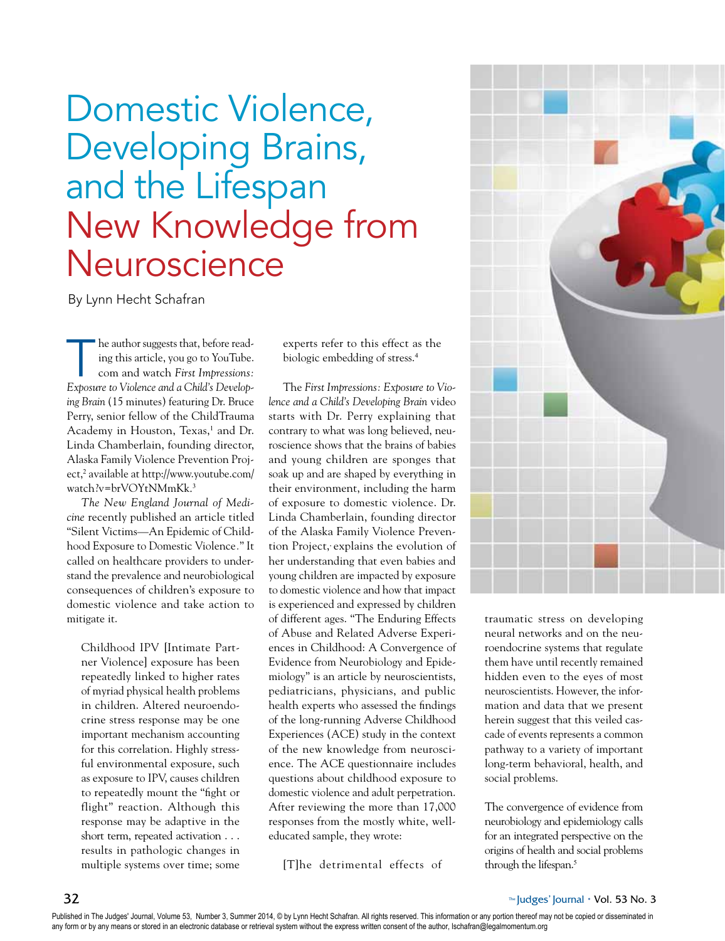# Domestic Violence, Developing Brains, and the Lifespan New Knowledge from **Neuroscience**

By Lynn Hecht Schafran

he author suggests that, before reading this article, you go to YouTube. com and watch *First Impressions: Exposure to Violence and a Child's Developing Brain* (15 minutes) featuring Dr. Bruce Perry, senior fellow of the ChildTrauma Academy in Houston, Texas,<sup>1</sup> and Dr. Linda Chamberlain, founding director, Alaska Family Violence Prevention Project,<sup>2</sup> available at http://www.youtube.com/ watch?v=brVOYtNMmKk. 3

*The New England Journal of Medicine* recently published an article titled "Silent Victims—An Epidemic of Childhood Exposure to Domestic Violence*.*" It called on healthcare providers to understand the prevalence and neurobiological consequences of children's exposure to domestic violence and take action to mitigate it.

Childhood IPV [Intimate Partner Violence] exposure has been repeatedly linked to higher rates of myriad physical health problems in children. Altered neuroendocrine stress response may be one important mechanism accounting for this correlation. Highly stressful environmental exposure, such as exposure to IPV, causes children to repeatedly mount the "fight or flight" reaction. Although this response may be adaptive in the short term, repeated activation . . . results in pathologic changes in multiple systems over time; some experts refer to this effect as the biologic embedding of stress.<sup>4</sup>

The *First Impressions: Exposure to Violence and a Child's Developing Brain* video starts with Dr. Perry explaining that contrary to what was long believed, neuroscience shows that the brains of babies and young children are sponges that soak up and are shaped by everything in their environment, including the harm of exposure to domestic violence. Dr. Linda Chamberlain, founding director of the Alaska Family Violence Prevention Project, explains the evolution of her understanding that even babies and young children are impacted by exposure to domestic violence and how that impact is experienced and expressed by children of different ages. "The Enduring Effects of Abuse and Related Adverse Experiences in Childhood: A Convergence of Evidence from Neurobiology and Epidemiology" is an article by neuroscientists, pediatricians, physicians, and public health experts who assessed the findings of the long-running Adverse Childhood Experiences (ACE) study in the context of the new knowledge from neuroscience. The ACE questionnaire includes questions about childhood exposure to domestic violence and adult perpetration. After reviewing the more than 17,000 responses from the mostly white, welleducated sample, they wrote:

[T]he detrimental effects of



traumatic stress on developing neural networks and on the neuroendocrine systems that regulate them have until recently remained hidden even to the eyes of most neuroscientists. However, the information and data that we present herein suggest that this veiled cascade of events represents a common pathway to a variety of important long-term behavioral, health, and social problems.

The convergence of evidence from neurobiology and epidemiology calls for an integrated perspective on the origins of health and social problems through the lifespan.<sup>5</sup>

Published in The Judges' Journal, Volume 53, Number 3, Summer 2014, © by Lynn Hecht Schafran. All rights reserved. This information or any portion thereof may not be copied or disseminated in any form or by any means or stored in an electronic database or retrieval system without the express written consent of the author, Ischafran@legalmomentum.org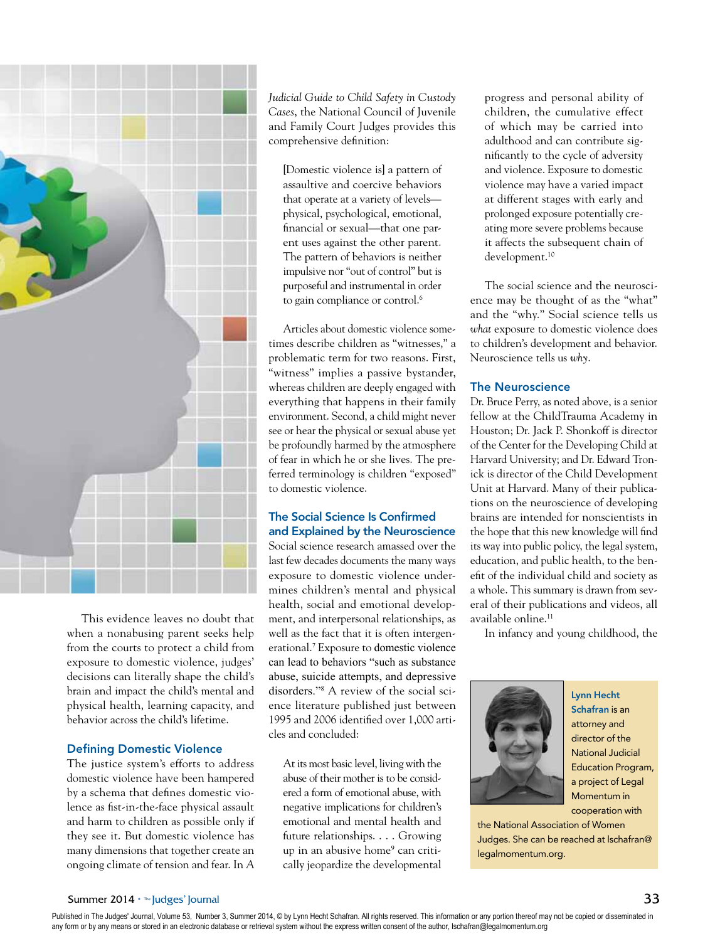

This evidence leaves no doubt that when a nonabusing parent seeks help from the courts to protect a child from exposure to domestic violence, judges' decisions can literally shape the child's brain and impact the child's mental and physical health, learning capacity, and behavior across the child's lifetime.

#### Defining Domestic Violence

The justice system's efforts to address domestic violence have been hampered by a schema that defines domestic violence as fist-in-the-face physical assault and harm to children as possible only if they see it. But domestic violence has many dimensions that together create an ongoing climate of tension and fear. In *A*  *Judicial Guide to Child Safety in Custody Cases*, the National Council of Juvenile and Family Court Judges provides this comprehensive definition:

[Domestic violence is] a pattern of assaultive and coercive behaviors that operate at a variety of levels physical, psychological, emotional, financial or sexual—that one parent uses against the other parent. The pattern of behaviors is neither impulsive nor "out of control" but is purposeful and instrumental in order to gain compliance or control.<sup>6</sup>

Articles about domestic violence sometimes describe children as "witnesses," a problematic term for two reasons. First, "witness" implies a passive bystander, whereas children are deeply engaged with everything that happens in their family environment. Second, a child might never see or hear the physical or sexual abuse yet be profoundly harmed by the atmosphere of fear in which he or she lives. The preferred terminology is children "exposed" to domestic violence.

# The Social Science Is Confirmed and Explained by the Neuroscience

Social science research amassed over the last few decades documents the many ways exposure to domestic violence undermines children's mental and physical health, social and emotional development, and interpersonal relationships, as well as the fact that it is often intergenerational.<sup>7</sup> Exposure to domestic violence can lead to behaviors "such as substance abuse, suicide attempts, and depressive disorders."8 A review of the social science literature published just between 1995 and 2006 identified over 1,000 articles and concluded:

At its most basic level, living with the abuse of their mother is to be considered a form of emotional abuse, with negative implications for children's emotional and mental health and future relationships. . . . Growing up in an abusive home<sup>9</sup> can critically jeopardize the developmental

progress and personal ability of children, the cumulative effect of which may be carried into adulthood and can contribute significantly to the cycle of adversity and violence. Exposure to domestic violence may have a varied impact at different stages with early and prolonged exposure potentially creating more severe problems because it affects the subsequent chain of development.10

The social science and the neuroscience may be thought of as the "what" and the "why." Social science tells us *what* exposure to domestic violence does to children's development and behavior. Neuroscience tells us *why*.

## The Neuroscience

Dr. Bruce Perry, as noted above, is a senior fellow at the ChildTrauma Academy in Houston; Dr. Jack P. Shonkoff is director of the Center for the Developing Child at Harvard University; and Dr. Edward Tronick is director of the Child Development Unit at Harvard. Many of their publications on the neuroscience of developing brains are intended for nonscientists in the hope that this new knowledge will find its way into public policy, the legal system, education, and public health, to the benefit of the individual child and society as a whole. This summary is drawn from several of their publications and videos, all available online.<sup>11</sup>

In infancy and young childhood, the



Lynn Hecht Schafran is an attorney and director of the National Judicial Education Program, a project of Legal Momentum in cooperation with

the National Association of Women Judges. She can be reached at lschafran@ legalmomentum.org.

#### Summer 2014 • ™ |udges' Journal 33

Published in The Judges' Journal, Volume 53, Number 3, Summer 2014, © by Lynn Hecht Schafran. All rights reserved. This information or any portion thereof may not be copied or disseminated in any form or by any means or stored in an electronic database or retrieval system without the express written consent of the author, Ischafran@legalmomentum.org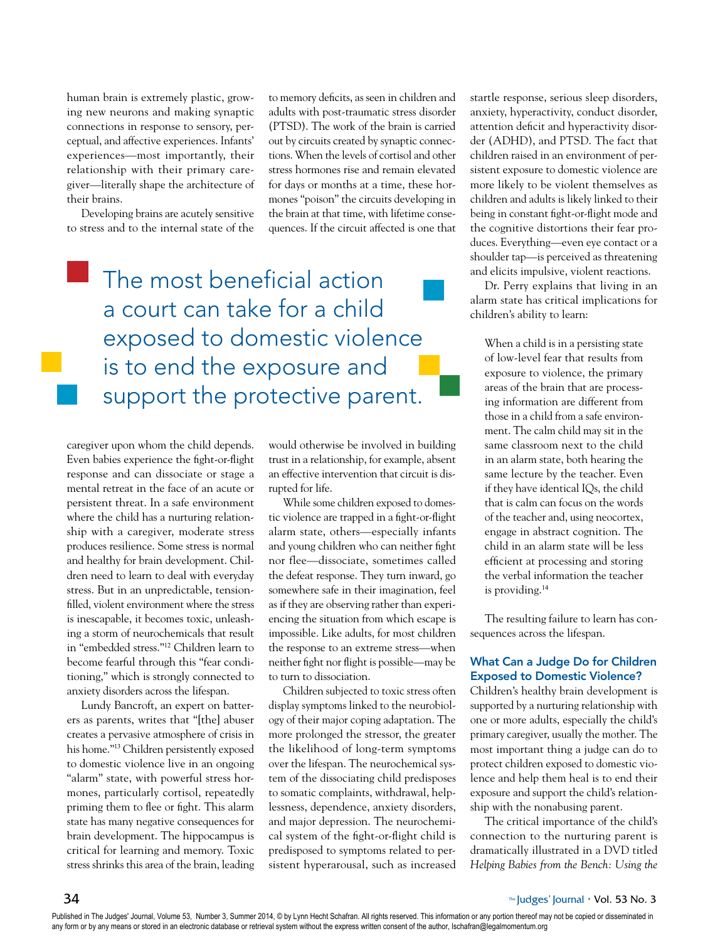human brain is extremely plastic, growing new neurons and making synaptic connections in response to sensory, perceptual, and affective experiences. Infants' experiences—most importantly, their relationship with their primary caregiver—literally shape the architecture of their brains.

Developing brains are acutely sensitive to stress and to the internal state of the to memory deficits, as seen in children and adults with post-traumatic stress disorder (PTSD). The work of the brain is carried out by circuits created by synaptic connections. When the levels of cortisol and other stress hormones rise and remain elevated for days or months at a time, these hormones "poison" the circuits developing in the brain at that time, with lifetime consequences. If the circuit affected is one that

# The most beneficial action a court can take for a child exposed to domestic violence is to end the exposure and support the protective parent.

caregiver upon whom the child depends. Even babies experience the fight-or-flight response and can dissociate or stage a mental retreat in the face of an acute or persistent threat. In a safe environment where the child has a nurturing relationship with a caregiver, moderate stress produces resilience. Some stress is normal and healthy for brain development. Children need to learn to deal with everyday stress. But in an unpredictable, tensionfilled, violent environment where the stress is inescapable, it becomes toxic, unleashing a storm of neurochemicals that result in "embedded stress."12 Children learn to become fearful through this "fear conditioning," which is strongly connected to anxiety disorders across the lifespan.

Lundy Bancroft, an expert on batterers as parents, writes that "[the] abuser creates a pervasive atmosphere of crisis in his home."13 Children persistently exposed to domestic violence live in an ongoing "alarm" state, with powerful stress hormones, particularly cortisol, repeatedly priming them to flee or fight. This alarm state has many negative consequences for brain development. The hippocampus is critical for learning and memory. Toxic stress shrinks this area of the brain, leading would otherwise be involved in building trust in a relationship, for example, absent an effective intervention that circuit is disrupted for life.

While some children exposed to domestic violence are trapped in a fight-or-flight alarm state, others—especially infants and young children who can neither fight nor flee—dissociate, sometimes called the defeat response. They turn inward, go somewhere safe in their imagination, feel as if they are observing rather than experiencing the situation from which escape is impossible. Like adults, for most children the response to an extreme stress—when neither fight nor flight is possible—may be to turn to dissociation.

Children subjected to toxic stress often display symptoms linked to the neurobiology of their major coping adaptation. The more prolonged the stressor, the greater the likelihood of long-term symptoms over the lifespan. The neurochemical system of the dissociating child predisposes to somatic complaints, withdrawal, helplessness, dependence, anxiety disorders, and major depression. The neurochemical system of the fight-or-flight child is predisposed to symptoms related to persistent hyperarousal, such as increased startle response, serious sleep disorders, anxiety, hyperactivity, conduct disorder, attention deficit and hyperactivity disorder (ADHD), and PTSD. The fact that children raised in an environment of persistent exposure to domestic violence are more likely to be violent themselves as children and adults is likely linked to their being in constant fight-or-flight mode and the cognitive distortions their fear produces. Everything—even eye contact or a shoulder tap—is perceived as threatening and elicits impulsive, violent reactions.

Dr. Perry explains that living in an alarm state has critical implications for children's ability to learn:

When a child is in a persisting state of low-level fear that results from exposure to violence, the primary areas of the brain that are processing information are different from those in a child from a safe environment. The calm child may sit in the same classroom next to the child in an alarm state, both hearing the same lecture by the teacher. Even if they have identical IQs, the child that is calm can focus on the words of the teacher and, using neocortex, engage in abstract cognition. The child in an alarm state will be less efficient at processing and storing the verbal information the teacher is providing.<sup>14</sup>

The resulting failure to learn has consequences across the lifespan.

## What Can a Judge Do for Children Exposed to Domestic Violence?

Children's healthy brain development is supported by a nurturing relationship with one or more adults, especially the child's primary caregiver, usually the mother. The most important thing a judge can do to protect children exposed to domestic violence and help them heal is to end their exposure and support the child's relationship with the nonabusing parent.

The critical importance of the child's connection to the nurturing parent is dramatically illustrated in a DVD titled *Helping Babies from the Bench: Using the* 

Published in The Judges' Journal, Volume 53, Number 3, Summer 2014, © by Lynn Hecht Schafran. All rights reserved. This information or any portion thereof may not be copied or disseminated in any form or by any means or stored in an electronic database or retrieval system without the express written consent of the author, Ischafran@legalmomentum.org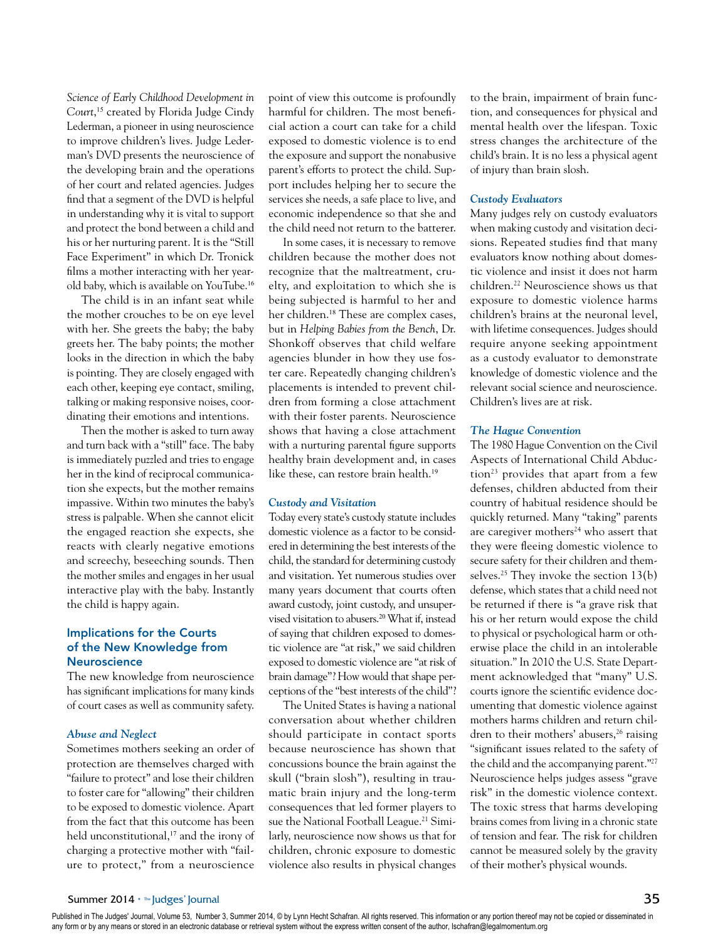*Science of Early Childhood Development in Court*, <sup>15</sup> created by Florida Judge Cindy Lederman, a pioneer in using neuroscience to improve children's lives. Judge Lederman's DVD presents the neuroscience of the developing brain and the operations of her court and related agencies. Judges find that a segment of the DVD is helpful in understanding why it is vital to support and protect the bond between a child and his or her nurturing parent. It is the "Still Face Experiment" in which Dr. Tronick films a mother interacting with her yearold baby, which is available on YouTube.<sup>16</sup>

The child is in an infant seat while the mother crouches to be on eye level with her. She greets the baby; the baby greets her. The baby points; the mother looks in the direction in which the baby is pointing. They are closely engaged with each other, keeping eye contact, smiling, talking or making responsive noises, coordinating their emotions and intentions.

Then the mother is asked to turn away and turn back with a "still" face. The baby is immediately puzzled and tries to engage her in the kind of reciprocal communication she expects, but the mother remains impassive. Within two minutes the baby's stress is palpable. When she cannot elicit the engaged reaction she expects, she reacts with clearly negative emotions and screechy, beseeching sounds. Then the mother smiles and engages in her usual interactive play with the baby. Instantly the child is happy again.

# Implications for the Courts of the New Knowledge from **Neuroscience**

The new knowledge from neuroscience has significant implications for many kinds of court cases as well as community safety.

## *Abuse and Neglect*

Sometimes mothers seeking an order of protection are themselves charged with "failure to protect" and lose their children to foster care for "allowing" their children to be exposed to domestic violence. Apart from the fact that this outcome has been held unconstitutional,<sup>17</sup> and the irony of charging a protective mother with "failure to protect," from a neuroscience

point of view this outcome is profoundly harmful for children. The most beneficial action a court can take for a child exposed to domestic violence is to end the exposure and support the nonabusive parent's efforts to protect the child. Support includes helping her to secure the services she needs, a safe place to live, and economic independence so that she and the child need not return to the batterer.

In some cases, it is necessary to remove children because the mother does not recognize that the maltreatment, cruelty, and exploitation to which she is being subjected is harmful to her and her children.18 These are complex cases, but in *Helping Babies from the Bench*, Dr. Shonkoff observes that child welfare agencies blunder in how they use foster care. Repeatedly changing children's placements is intended to prevent children from forming a close attachment with their foster parents. Neuroscience shows that having a close attachment with a nurturing parental figure supports healthy brain development and, in cases like these, can restore brain health.<sup>19</sup>

#### *Custody and Visitation*

Today every state's custody statute includes domestic violence as a factor to be considered in determining the best interests of the child, the standard for determining custody and visitation. Yet numerous studies over many years document that courts often award custody, joint custody, and unsupervised visitation to abusers.20 What if, instead of saying that children exposed to domestic violence are "at risk," we said children exposed to domestic violence are "at risk of brain damage"? How would that shape perceptions of the "best interests of the child"?

The United States is having a national conversation about whether children should participate in contact sports because neuroscience has shown that concussions bounce the brain against the skull ("brain slosh"), resulting in traumatic brain injury and the long-term consequences that led former players to sue the National Football League.<sup>21</sup> Similarly, neuroscience now shows us that for children, chronic exposure to domestic violence also results in physical changes to the brain, impairment of brain function, and consequences for physical and mental health over the lifespan. Toxic stress changes the architecture of the child's brain. It is no less a physical agent of injury than brain slosh.

#### *Custody Evaluators*

Many judges rely on custody evaluators when making custody and visitation decisions. Repeated studies find that many evaluators know nothing about domestic violence and insist it does not harm children.22 Neuroscience shows us that exposure to domestic violence harms children's brains at the neuronal level, with lifetime consequences. Judges should require anyone seeking appointment as a custody evaluator to demonstrate knowledge of domestic violence and the relevant social science and neuroscience. Children's lives are at risk.

#### *The Hague Convention*

The 1980 Hague Convention on the Civil Aspects of International Child Abduction<sup>23</sup> provides that apart from a few defenses, children abducted from their country of habitual residence should be quickly returned. Many "taking" parents are caregiver mothers<sup>24</sup> who assert that they were fleeing domestic violence to secure safety for their children and themselves.<sup>25</sup> They invoke the section  $13(b)$ defense, which states that a child need not be returned if there is "a grave risk that his or her return would expose the child to physical or psychological harm or otherwise place the child in an intolerable situation." In 2010 the U.S. State Department acknowledged that "many" U.S. courts ignore the scientific evidence documenting that domestic violence against mothers harms children and return children to their mothers' abusers,<sup>26</sup> raising "significant issues related to the safety of the child and the accompanying parent."27 Neuroscience helps judges assess "grave risk" in the domestic violence context. The toxic stress that harms developing brains comes from living in a chronic state of tension and fear. The risk for children cannot be measured solely by the gravity of their mother's physical wounds.

Published in The Judges' Journal, Volume 53, Number 3, Summer 2014, © by Lynn Hecht Schafran. All rights reserved. This information or any portion thereof may not be copied or disseminated in any form or by any means or stored in an electronic database or retrieval system without the express written consent of the author, Ischafran@legalmomentum.org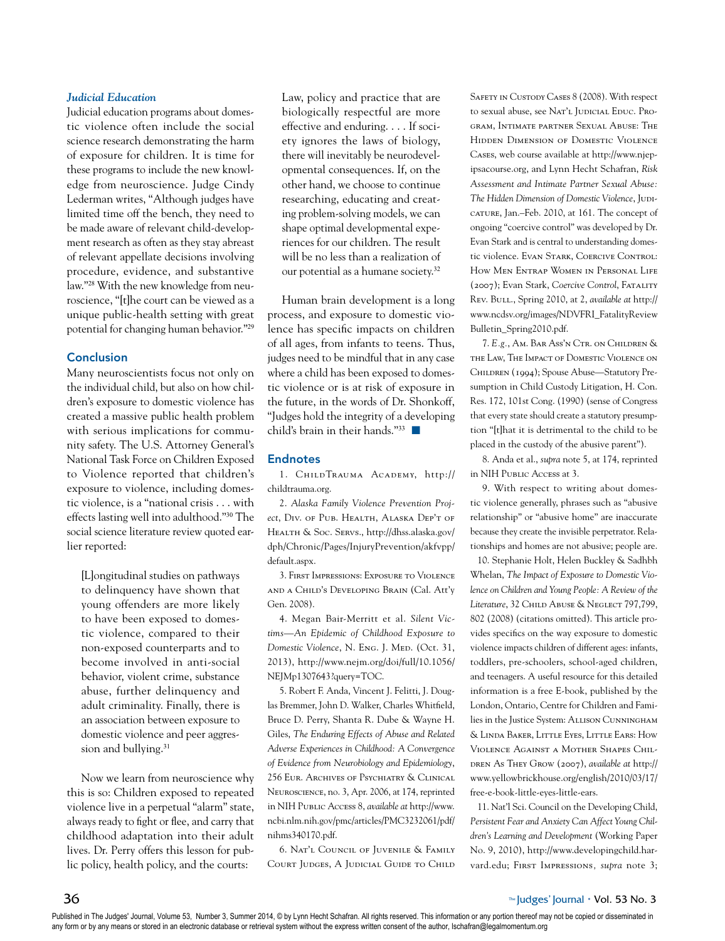#### *Judicial Education*

Judicial education programs about domestic violence often include the social science research demonstrating the harm of exposure for children. It is time for these programs to include the new knowledge from neuroscience. Judge Cindy Lederman writes, "Although judges have limited time off the bench, they need to be made aware of relevant child-development research as often as they stay abreast of relevant appellate decisions involving procedure, evidence, and substantive law."28 With the new knowledge from neuroscience, "[t]he court can be viewed as a unique public-health setting with great potential for changing human behavior."<sup>29</sup>

# Conclusion

Many neuroscientists focus not only on the individual child, but also on how children's exposure to domestic violence has created a massive public health problem with serious implications for community safety. The U.S. Attorney General's National Task Force on Children Exposed to Violence reported that children's exposure to violence, including domestic violence, is a "national crisis . . . with effects lasting well into adulthood."30 The social science literature review quoted earlier reported:

[L]ongitudinal studies on pathways to delinquency have shown that young offenders are more likely to have been exposed to domestic violence, compared to their non-exposed counterparts and to become involved in anti-social behavior, violent crime, substance abuse, further delinquency and adult criminality. Finally, there is an association between exposure to domestic violence and peer aggression and bullying.<sup>31</sup>

Now we learn from neuroscience why this is so: Children exposed to repeated violence live in a perpetual "alarm" state, always ready to fight or flee, and carry that childhood adaptation into their adult lives. Dr. Perry offers this lesson for public policy, health policy, and the courts:

Law, policy and practice that are biologically respectful are more effective and enduring. . . . If society ignores the laws of biology, there will inevitably be neurodevelopmental consequences. If, on the other hand, we choose to continue researching, educating and creating problem-solving models, we can shape optimal developmental experiences for our children. The result will be no less than a realization of our potential as a humane society.<sup>32</sup>

Human brain development is a long process, and exposure to domestic violence has specific impacts on children of all ages, from infants to teens. Thus, judges need to be mindful that in any case where a child has been exposed to domestic violence or is at risk of exposure in the future, in the words of Dr. Shonkoff, "Judges hold the integrity of a developing child's brain in their hands." $33$ 

#### Endnotes

1. ChildTrauma Academy, http:// childtrauma.org.

2. *Alaska Family Violence Prevention Project*, Div. of Pub. Health, Alaska Dep't of Health & Soc. Servs., http://dhss.alaska.gov/ dph/Chronic/Pages/InjuryPrevention/akfvpp/ default.aspx.

3. First Impressions: Exposure to Violence and a Child's Developing Brain (Cal. Att'y Gen. 2008).

4. Megan Bair-Merritt et al. *Silent Victims—An Epidemic of Childhood Exposure to Domestic Violence*, N. Eng. J. Med. (Oct. 31, 2013), http://www.nejm.org/doi/full/10.1056/ NEJMp1307643?query=TOC.

5. Robert F. Anda, Vincent J. Felitti, J. Douglas Bremmer, John D. Walker, Charles Whitfield, Bruce D. Perry, Shanta R. Dube & Wayne H. Giles, *The Enduring Effects of Abuse and Related Adverse Experiences in Childhood: A Convergence of Evidence from Neurobiology and Epidemiology*, 256 Eur. Archives of Psychiatry & Clinical Neuroscience, no. 3, Apr. 2006, at 174, reprinted in NIH Public Access 8, *available at* http://www. ncbi.nlm.nih.gov/pmc/articles/PMC3232061/pdf/ nihms340170.pdf.

6. Nat'l Council of Juvenile & Family COURT JUDGES, A JUDICIAL GUIDE TO CHILD SAFETY IN CUSTODY CASES 8 (2008). With respect to sexual abuse, see Nat'l JUDICIAL EDUC. Program, Intimate partner Sexual Abuse: The Hidden Dimension of Domestic Violence Cases, web course available at http://www.njepipsacourse.org, and Lynn Hecht Schafran, *Risk Assessment and Intimate Partner Sexual Abuse:*  The Hidden Dimension of Domestic Violence, JUDIcature, Jan.–Feb. 2010, at 161. The concept of ongoing "coercive control" was developed by Dr. Evan Stark and is central to understanding domestic violence. Evan Stark, Coercive Control: How Men Entrap Women in Personal Life (2007); Evan Stark, *Coercive Control*, Fatality Rev. Bull., Spring 2010, at 2, *available at* http:// www.ncdsv.org/images/NDVFRI\_FatalityReview Bulletin\_Spring2010.pdf.

7. *E.g.*, Am. Bar Ass'n Ctr. on Children & the Law, The Impact of Domestic Violence on Children (1994); Spouse Abuse—Statutory Presumption in Child Custody Litigation, H. Con. Res. 172, 101st Cong. (1990) (sense of Congress that every state should create a statutory presumption "[t]hat it is detrimental to the child to be placed in the custody of the abusive parent").

8. Anda et al., *supra* note 5, at 174, reprinted in NIH Public Access at 3.

9. With respect to writing about domestic violence generally, phrases such as "abusive relationship" or "abusive home" are inaccurate because they create the invisible perpetrator. Relationships and homes are not abusive; people are.

10. Stephanie Holt, Helen Buckley & Sadhbh Whelan, *The Impact of Exposure to Domestic Violence on Children and Young People: A Review of the*  Literature, 32 CHILD ABUSE & NEGLECT 797,799, 802 (2008) (citations omitted). This article provides specifics on the way exposure to domestic violence impacts children of different ages: infants, toddlers, pre-schoolers, school-aged children, and teenagers. A useful resource for this detailed information is a free E-book, published by the London, Ontario, Centre for Children and Families in the Justice System: Allison Cunningham & Linda Baker, Little Eyes, Little Ears: How Violence Against a Mother Shapes Children As They Grow (2007), *available at* http:// www.yellowbrickhouse.org/english/2010/03/17/ free-e-book-little-eyes-little-ears.

11. Nat'l Sci. Council on the Developing Child, *Persistent Fear and Anxiety Can Affect Young Children's Learning and Development* (Working Paper No. 9, 2010), http://www.developingchild.harvard.edu; First Impressions*, supra* note 3;

Published in The Judges' Journal, Volume 53, Number 3, Summer 2014, © by Lynn Hecht Schafran. All rights reserved. This information or any portion thereof may not be copied or disseminated in any form or by any means or stored in an electronic database or retrieval system without the express written consent of the author, Ischafran@legalmomentum.org